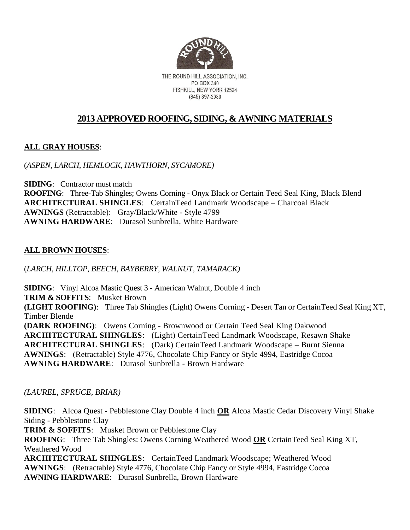

THE ROUND HILL ASSOCIATION. INC. PO BOX 340 FISHKILL, NEW YORK 12524 (845) 897-2080

## **2013 APPROVED ROOFING, SIDING, & AWNING MATERIALS**

### **ALL GRAY HOUSES**:

#### (*ASPEN, LARCH, HEMLOCK, HAWTHORN, SYCAMORE)*

**SIDING**: Contractor must match **ROOFING**: Three-Tab Shingles; Owens Corning - Onyx Black or Certain Teed Seal King, Black Blend **ARCHITECTURAL SHINGLES**: CertainTeed Landmark Woodscape – Charcoal Black **AWNINGS** (Retractable): Gray/Black/White - Style 4799 **AWNING HARDWARE**: Durasol Sunbrella, White Hardware

### **ALL BROWN HOUSES**:

(*LARCH, HILLTOP, BEECH, BAYBERRY, WALNUT, TAMARACK)*

**SIDING**: Vinyl Alcoa Mastic Quest 3 - American Walnut, Double 4 inch **TRIM & SOFFITS**: Musket Brown **(LIGHT ROOFING)**: Three Tab Shingles (Light) Owens Corning - Desert Tan or CertainTeed Seal King XT, Timber Blende **(DARK ROOFING)**: Owens Corning - Brownwood or Certain Teed Seal King Oakwood **ARCHITECTURAL SHINGLES**: (Light) CertainTeed Landmark Woodscape, Resawn Shake **ARCHITECTURAL SHINGLES**: (Dark) CertainTeed Landmark Woodscape – Burnt Sienna **AWNINGS**: (Retractable) Style 4776, Chocolate Chip Fancy or Style 4994, Eastridge Cocoa **AWNING HARDWARE**: Durasol Sunbrella - Brown Hardware

#### *(LAUREL, SPRUCE, BRIAR)*

**SIDING**: Alcoa Quest - Pebblestone Clay Double 4 inch **OR** Alcoa Mastic Cedar Discovery Vinyl Shake Siding - Pebblestone Clay

**TRIM & SOFFITS**: Musket Brown or Pebblestone Clay

**ROOFING**: Three Tab Shingles: Owens Corning Weathered Wood **OR** CertainTeed Seal King XT, Weathered Wood

**ARCHITECTURAL SHINGLES**: CertainTeed Landmark Woodscape; Weathered Wood **AWNINGS**: (Retractable) Style 4776, Chocolate Chip Fancy or Style 4994, Eastridge Cocoa **AWNING HARDWARE**: Durasol Sunbrella, Brown Hardware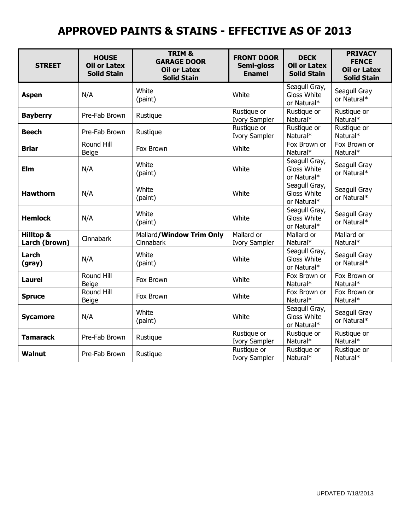# **APPROVED PAINTS & STAINS - EFFECTIVE AS OF 2013**

| <b>STREET</b>                         | <b>HOUSE</b><br><b>Oil or Latex</b><br><b>Solid Stain</b> | TRIM &<br><b>GARAGE DOOR</b><br><b>Oil or Latex</b><br><b>Solid Stain</b> | <b>FRONT DOOR</b><br>Semi-gloss<br><b>Enamel</b> | <b>DECK</b><br><b>Oil or Latex</b><br><b>Solid Stain</b> | <b>PRIVACY</b><br><b>FENCE</b><br><b>Oil or Latex</b><br><b>Solid Stain</b> |
|---------------------------------------|-----------------------------------------------------------|---------------------------------------------------------------------------|--------------------------------------------------|----------------------------------------------------------|-----------------------------------------------------------------------------|
| <b>Aspen</b>                          | N/A                                                       | White<br>(paint)                                                          | White                                            | Seagull Gray,<br>Gloss White<br>or Natural*              | Seagull Gray<br>or Natural*                                                 |
| <b>Bayberry</b>                       | Pre-Fab Brown                                             | Rustique                                                                  | Rustique or<br>Ivory Sampler                     | Rustique or<br>Natural*                                  | Rustique or<br>Natural*                                                     |
| <b>Beech</b>                          | Pre-Fab Brown                                             | Rustique                                                                  | Rustique or<br><b>Ivory Sampler</b>              | Rustique or<br>Natural*                                  | Rustique or<br>Natural*                                                     |
| <b>Briar</b>                          | Round Hill<br><b>Beige</b>                                | Fox Brown                                                                 | White                                            | Fox Brown or<br>Natural*                                 | Fox Brown or<br>Natural*                                                    |
| Elm                                   | N/A                                                       | White<br>(paint)                                                          | White                                            | Seagull Gray,<br>Gloss White<br>or Natural*              | Seagull Gray<br>or Natural*                                                 |
| <b>Hawthorn</b>                       | N/A                                                       | White<br>(paint)                                                          | White                                            | Seagull Gray,<br>Gloss White<br>or Natural*              | Seagull Gray<br>or Natural*                                                 |
| <b>Hemlock</b>                        | N/A                                                       | White<br>(paint)                                                          | White                                            | Seagull Gray,<br>Gloss White<br>or Natural*              | Seagull Gray<br>or Natural*                                                 |
| <b>Hilltop &amp;</b><br>Larch (brown) | Cinnabark                                                 | Mallard/Window Trim Only<br>Cinnabark                                     | Mallard or<br><b>Ivory Sampler</b>               | Mallard or<br>Natural*                                   | Mallard or<br>Natural*                                                      |
| Larch<br>(gray)                       | N/A                                                       | White<br>(paint)                                                          | White                                            | Seagull Gray,<br>Gloss White<br>or Natural*              | Seagull Gray<br>or Natural*                                                 |
| <b>Laurel</b>                         | Round Hill<br>Beige                                       | Fox Brown                                                                 | White                                            | Fox Brown or<br>Natural*                                 | Fox Brown or<br>Natural*                                                    |
| <b>Spruce</b>                         | Round Hill<br><b>Beige</b>                                | Fox Brown                                                                 | White                                            | Fox Brown or<br>Natural*                                 | Fox Brown or<br>Natural*                                                    |
| <b>Sycamore</b>                       | N/A                                                       | White<br>(paint)                                                          | White                                            | Seagull Gray,<br>Gloss White<br>or Natural*              | Seagull Gray<br>or Natural*                                                 |
| <b>Tamarack</b>                       | Pre-Fab Brown                                             | Rustique                                                                  | Rustique or<br><b>Ivory Sampler</b>              | Rustique or<br>Natural*                                  | Rustique or<br>Natural*                                                     |
| <b>Walnut</b>                         | Pre-Fab Brown                                             | Rustique                                                                  | Rustique or<br><b>Ivory Sampler</b>              | Rustique or<br>Natural*                                  | Rustique or<br>Natural*                                                     |